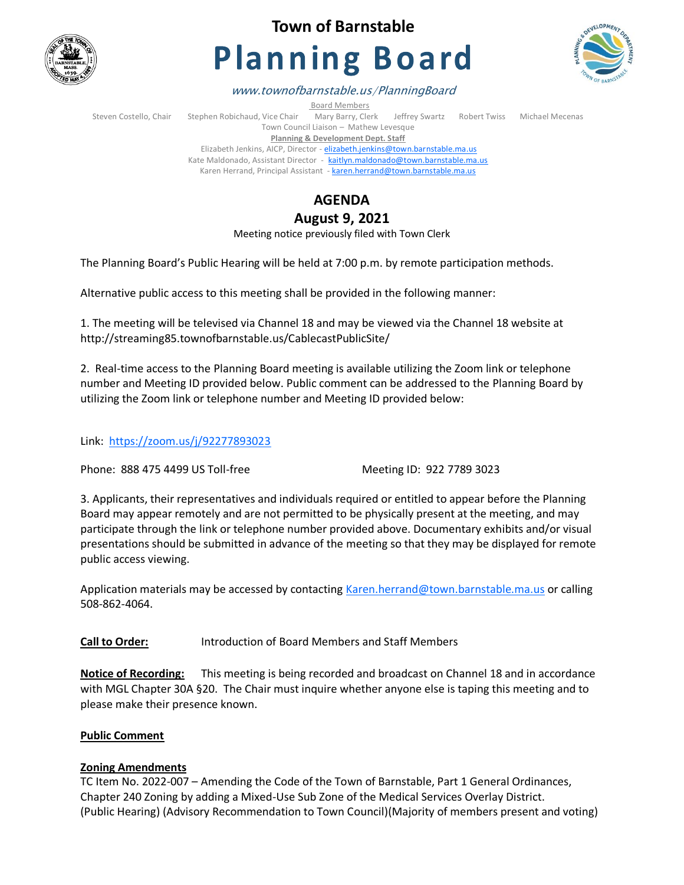

## **Town of Barnstable**

# **Planning Board**



www.townofbarnstable.us/PlanningBoard

Board Members

Steven Costello, Chair Stephen Robichaud, Vice Chair Mary Barry, Clerk Jeffrey Swartz Robert Twiss Michael Mecenas Town Council Liaison – Mathew Levesque **Planning & Development Dept. Staff**  Elizabeth Jenkins, AICP, Director - [elizabeth.jenkins@town.barnstable.ma.us](mailto:elizabeth.jenkins@town.barnstable.ma.us) Kate Maldonado, Assistant Director - [kaitlyn.maldonado@town.barnstable.ma.us](mailto:kaitlyn.maldonado@town.barnstable.ma.us)

Karen Herrand, Principal Assistant - [karen.herrand@town.barnstable.ma.us](mailto:karen.herrand@town.barnstable.ma.us)

### **AGENDA**

**August 9, 2021** 

Meeting notice previously filed with Town Clerk

The Planning Board's Public Hearing will be held at 7:00 p.m. by remote participation methods.

Alternative public access to this meeting shall be provided in the following manner:

1. The meeting will be televised via Channel 18 and may be viewed via the Channel 18 website at http://streaming85.townofbarnstable.us/CablecastPublicSite/

2. Real-time access to the Planning Board meeting is available utilizing the Zoom link or telephone number and Meeting ID provided below. Public comment can be addressed to the Planning Board by utilizing the Zoom link or telephone number and Meeting ID provided below:

Link: <https://zoom.us/j/92277893023>

Phone: 888 475 4499 US Toll-free Meeting ID: 922 7789 3023

3. Applicants, their representatives and individuals required or entitled to appear before the Planning Board may appear remotely and are not permitted to be physically present at the meeting, and may participate through the link or telephone number provided above. Documentary exhibits and/or visual presentations should be submitted in advance of the meeting so that they may be displayed for remote public access viewing.

Application materials may be accessed by contacting [Karen.herrand@town.barnstable.ma.us](mailto:Karen.herrand@town.barnstable.ma.us) or calling 508-862-4064.

**Call to Order:** Introduction of Board Members and Staff Members

**Notice of Recording:** This meeting is being recorded and broadcast on Channel 18 and in accordance with MGL Chapter 30A §20. The Chair must inquire whether anyone else is taping this meeting and to please make their presence known.

#### **Public Comment**

#### **Zoning Amendments**

TC Item No. 2022-007 – Amending the Code of the Town of Barnstable, Part 1 General Ordinances, Chapter 240 Zoning by adding a Mixed-Use Sub Zone of the Medical Services Overlay District. (Public Hearing) (Advisory Recommendation to Town Council)(Majority of members present and voting)